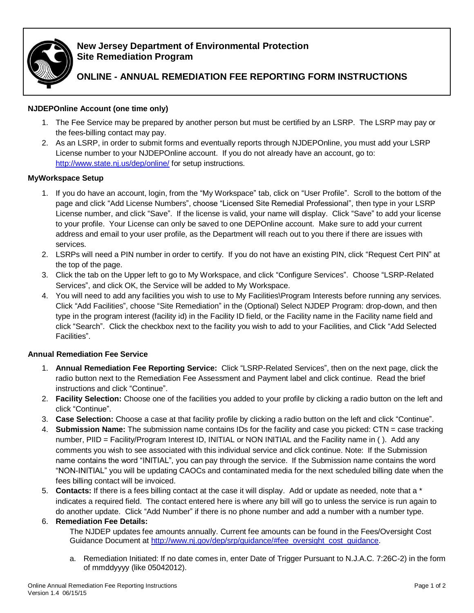

## **New Jersey Department of Environmental Protection Site Remediation Program**

# **ONLINE - ANNUAL REMEDIATION FEE REPORTING FORM INSTRUCTIONS**

### **NJDEPOnline Account (one time only)**

- 1. The Fee Service may be prepared by another person but must be certified by an LSRP. The LSRP may pay or the fees-billing contact may pay.
- 2. As an LSRP, in order to submit forms and eventually reports through NJDEPOnline, you must add your LSRP License number to your NJDEPOnline account. If you do not already have an account, go to: <http://www.state.nj.us/dep/online/> for setup instructions.

### **MyWorkspace Setup**

- 1. If you do have an account, login, from the "My Workspace" tab, click on "User Profile". Scroll to the bottom of the page and click "Add License Numbers", choose "Licensed Site Remedial Professional", then type in your LSRP License number, and click "Save". If the license is valid, your name will display. Click "Save" to add your license to your profile. Your License can only be saved to one DEPOnline account. Make sure to add your current address and email to your user profile, as the Department will reach out to you there if there are issues with services.
- 2. LSRPs will need a PIN number in order to certify. If you do not have an existing PIN, click "Request Cert PIN" at the top of the page.
- 3. Click the tab on the Upper left to go to My Workspace, and click "Configure Services". Choose "LSRP-Related Services", and click OK, the Service will be added to My Workspace.
- 4. You will need to add any facilities you wish to use to My Facilities\Program Interests before running any services. Click "Add Facilities", choose "Site Remediation" in the (Optional) Select NJDEP Program: drop-down, and then type in the program interest (facility id) in the Facility ID field, or the Facility name in the Facility name field and click "Search". Click the checkbox next to the facility you wish to add to your Facilities, and Click "Add Selected Facilities".

### **Annual Remediation Fee Service**

- 1. **Annual Remediation Fee Reporting Service:** Click "LSRP-Related Services", then on the next page, click the radio button next to the [Remediation Fee Assessment and Payment](javascript:func_open_help_page() label and click continue. Read the brief instructions and click "Continue".
- 2. **Facility Selection:** Choose one of the facilities you added to your profile by clicking a radio button on the left and click "Continue".
- 3. **Case Selection:** Choose a case at that facility profile by clicking a radio button on the left and click "Continue".
- 4. **Submission Name:** The submission name contains IDs for the facility and case you picked: CTN = case tracking number, PIID = Facility/Program Interest ID, INITIAL or NON INITIAL and the Facility name in ( ). Add any comments you wish to see associated with this individual service and click continue. Note: If the Submission name contains the word "INITIAL", you can pay through the service. If the Submission name contains the word "NON-INITIAL" you will be updating CAOCs and contaminated media for the next scheduled billing date when the fees billing contact will be invoiced.
- 5. **Contacts:** If there is a fees billing contact at the case it will display. Add or update as needed, note that a \* indicates a required field. The contact entered here is where any bill will go to unless the service is run again to do another update. Click "Add Number" if there is no phone number and add a number with a number type.

#### 6. **Remediation Fee Details:**

The NJDEP updates fee amounts annually. Current fee amounts can be found in the Fees/Oversight Cost Guidance Document at [http://www.nj.gov/dep/srp/guidance/#fee\\_oversight\\_cost\\_guidance.](http://www.nj.gov/dep/srp/guidance/#fee_oversight_cost_guidance)

a. Remediation Initiated: If no date comes in, enter Date of Trigger Pursuant to N.J.A.C. 7:26C-2) in the form of mmddyyyy (like 05042012).